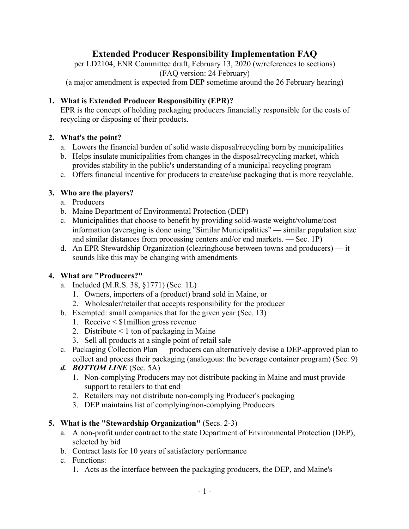# **Extended Producer Responsibility Implementation FAQ**

per LD2104, ENR Committee draft, February 13, 2020 (w/references to sections) (FAQ version: 24 February) (a major amendment is expected from DEP sometime around the 26 February hearing)

# **1. What is Extended Producer Responsibility (EPR)?**

EPR is the concept of holding packaging producers financially responsible for the costs of recycling or disposing of their products.

#### **2. What's the point?**

- a. Lowers the financial burden of solid waste disposal/recycling born by municipalities
- b. Helps insulate municipalities from changes in the disposal/recycling market, which provides stability in the public's understanding of a municipal recycling program
- c. Offers financial incentive for producers to create/use packaging that is more recyclable.

#### **3. Who are the players?**

- a. Producers
- b. Maine Department of Environmental Protection (DEP)
- c. Municipalities that choose to benefit by providing solid-waste weight/volume/cost information (averaging is done using "Similar Municipalities" — similar population size and similar distances from processing centers and/or end markets. — Sec. 1P)
- d. An EPR Stewardship Organization (clearinghouse between towns and producers) it sounds like this may be changing with amendments

#### **4. What are "Producers?"**

- a. Included (M.R.S. 38, §1771) (Sec. 1L)
	- 1. Owners, importers of a (product) brand sold in Maine, or
	- 2. Wholesaler/retailer that accepts responsibility for the producer
- b. Exempted: small companies that for the given year (Sec. 13)
	- 1. Receive < \$1million gross revenue
	- 2. Distribute  $\leq 1$  ton of packaging in Maine
	- 3. Sell all products at a single point of retail sale
- c. Packaging Collection Plan producers can alternatively devise a DEP-approved plan to collect and process their packaging (analogous: the beverage container program) (Sec. 9)

#### *d. BOTTOM LINE* (Sec. 5A)

- 1. Non-complying Producers may not distribute packing in Maine and must provide support to retailers to that end
- 2. Retailers may not distribute non-complying Producer's packaging
- 3. DEP maintains list of complying/non-complying Producers

#### **5. What is the "Stewardship Organization"** (Secs. 2-3)

- a. A non-profit under contract to the state Department of Environmental Protection (DEP), selected by bid
- b. Contract lasts for 10 years of satisfactory performance
- c. Functions:
	- 1. Acts as the interface between the packaging producers, the DEP, and Maine's